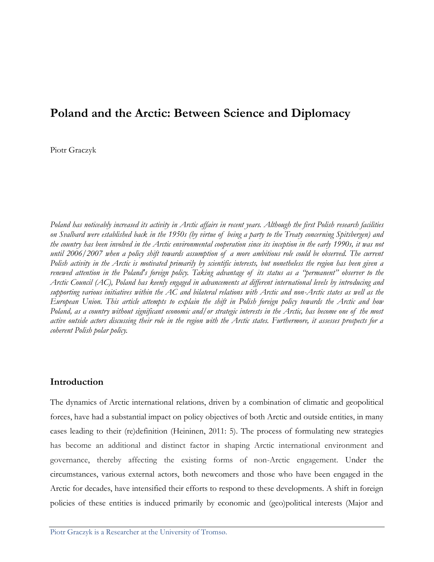# **Poland and the Arctic: Between Science and Diplomacy**

Piotr Graczyk

*Poland has noticeably increased its activity in Arctic affairs in recent years. Although the first Polish research facilities on Svalbard were established back in the 1950s (by virtue of being a party to the Treaty concerning Spitsbergen) and the country has been involved in the Arctic environmental cooperation since its inception in the early 1990s, it was not until 2006/2007 when a policy shift towards assumption of a more ambitious role could be observed. The current Polish activity in the Arctic is motivated primarily by scientific interests, but nonetheless the region has been given a renewed attention in the Poland's foreign policy. Taking advantage of its status as a "permanent" observer to the Arctic Council (AC), Poland has keenly engaged in advancements at different international levels by introducing and supporting various initiatives within the AC and bilateral relations with Arctic and non-Arctic states as well as the European Union. This article attempts to explain the shift in Polish foreign policy towards the Arctic and how Poland, as a country without significant economic and/or strategic interests in the Arctic, has become one of the most active outside actors discussing their role in the region with the Arctic states. Furthermore, it assesses prospects for a coherent Polish polar policy.*

# **Introduction**

The dynamics of Arctic international relations, driven by a combination of climatic and geopolitical forces, have had a substantial impact on policy objectives of both Arctic and outside entities, in many cases leading to their (re)definition (Heininen, 2011: 5). The process of formulating new strategies has become an additional and distinct factor in shaping Arctic international environment and governance, thereby affecting the existing forms of non-Arctic engagement. Under the circumstances, various external actors, both newcomers and those who have been engaged in the Arctic for decades, have intensified their efforts to respond to these developments. A shift in foreign policies of these entities is induced primarily by economic and (geo)political interests (Major and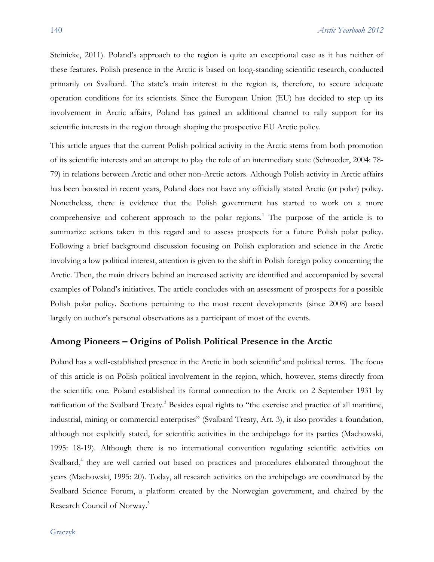Steinicke, 2011). Poland's approach to the region is quite an exceptional case as it has neither of these features. Polish presence in the Arctic is based on long-standing scientific research, conducted primarily on Svalbard. The state's main interest in the region is, therefore, to secure adequate operation conditions for its scientists. Since the European Union (EU) has decided to step up its involvement in Arctic affairs, Poland has gained an additional channel to rally support for its scientific interests in the region through shaping the prospective EU Arctic policy.

This article argues that the current Polish political activity in the Arctic stems from both promotion of its scientific interests and an attempt to play the role of an intermediary state (Schroeder, 2004: 78- 79) in relations between Arctic and other non-Arctic actors. Although Polish activity in Arctic affairs has been boosted in recent years, Poland does not have any officially stated Arctic (or polar) policy. Nonetheless, there is evidence that the Polish government has started to work on a more comprehensive and coherent approach to the polar regions.<sup>1</sup> The purpose of the article is to summarize actions taken in this regard and to assess prospects for a future Polish polar policy. Following a brief background discussion focusing on Polish exploration and science in the Arctic involving a low political interest, attention is given to the shift in Polish foreign policy concerning the Arctic. Then, the main drivers behind an increased activity are identified and accompanied by several examples of Poland's initiatives. The article concludes with an assessment of prospects for a possible Polish polar policy. Sections pertaining to the most recent developments (since 2008) are based largely on author's personal observations as a participant of most of the events.

### **Among Pioneers – Origins of Polish Political Presence in the Arctic**

Poland has a well-established presence in the Arctic in both scientific<sup>2</sup> and political terms. The focus of this article is on Polish political involvement in the region, which, however, stems directly from the scientific one. Poland established its formal connection to the Arctic on 2 September 1931 by ratification of the Svalbard Treaty.<sup>3</sup> Besides equal rights to "the exercise and practice of all maritime, industrial, mining or commercial enterprises" (Svalbard Treaty, Art. 3), it also provides a foundation, although not explicitly stated, for scientific activities in the archipelago for its parties (Machowski, 1995: 18-19). Although there is no international convention regulating scientific activities on Svalbard,<sup>4</sup> they are well carried out based on practices and procedures elaborated throughout the years (Machowski, 1995: 20). Today, all research activities on the archipelago are coordinated by the Svalbard Science Forum, a platform created by the Norwegian government, and chaired by the Research Council of Norway.5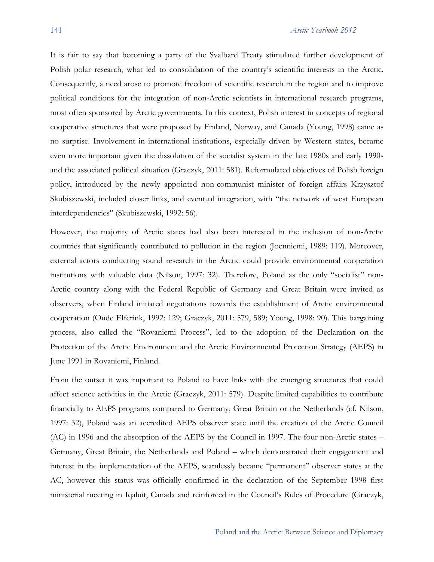It is fair to say that becoming a party of the Svalbard Treaty stimulated further development of Polish polar research, what led to consolidation of the country's scientific interests in the Arctic. Consequently, a need arose to promote freedom of scientific research in the region and to improve political conditions for the integration of non-Arctic scientists in international research programs, most often sponsored by Arctic governments. In this context, Polish interest in concepts of regional cooperative structures that were proposed by Finland, Norway, and Canada (Young, 1998) came as no surprise. Involvement in international institutions, especially driven by Western states, became even more important given the dissolution of the socialist system in the late 1980s and early 1990s and the associated political situation (Graczyk, 2011: 581). Reformulated objectives of Polish foreign policy, introduced by the newly appointed non-communist minister of foreign affairs Krzysztof Skubiszewski, included closer links, and eventual integration, with "the network of west European interdependencies" (Skubiszewski, 1992: 56).

However, the majority of Arctic states had also been interested in the inclusion of non-Arctic countries that significantly contributed to pollution in the region (Joenniemi, 1989: 119). Moreover, external actors conducting sound research in the Arctic could provide environmental cooperation institutions with valuable data (Nilson, 1997: 32). Therefore, Poland as the only "socialist" non-Arctic country along with the Federal Republic of Germany and Great Britain were invited as observers, when Finland initiated negotiations towards the establishment of Arctic environmental cooperation (Oude Elferink, 1992: 129; Graczyk, 2011: 579, 589; Young, 1998: 90). This bargaining process, also called the "Rovaniemi Process", led to the adoption of the Declaration on the Protection of the Arctic Environment and the Arctic Environmental Protection Strategy (AEPS) in June 1991 in Rovaniemi, Finland.

From the outset it was important to Poland to have links with the emerging structures that could affect science activities in the Arctic (Graczyk, 2011: 579). Despite limited capabilities to contribute financially to AEPS programs compared to Germany, Great Britain or the Netherlands (cf. Nilson, 1997: 32), Poland was an accredited AEPS observer state until the creation of the Arctic Council (AC) in 1996 and the absorption of the AEPS by the Council in 1997. The four non-Arctic states – Germany, Great Britain, the Netherlands and Poland – which demonstrated their engagement and interest in the implementation of the AEPS, seamlessly became "permanent" observer states at the AC, however this status was officially confirmed in the declaration of the September 1998 first ministerial meeting in Iqaluit, Canada and reinforced in the Council's Rules of Procedure (Graczyk,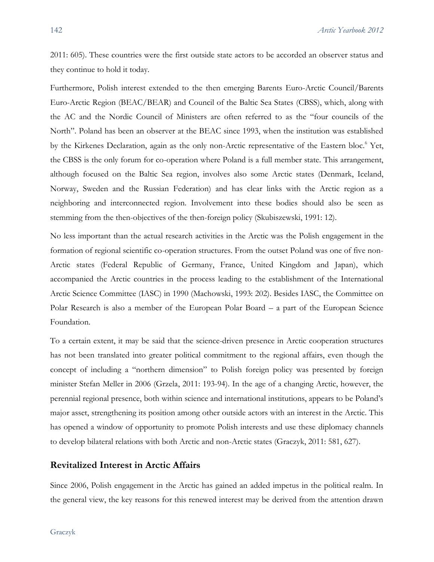2011: 605). These countries were the first outside state actors to be accorded an observer status and they continue to hold it today.

Furthermore, Polish interest extended to the then emerging Barents Euro-Arctic Council/Barents Euro-Arctic Region (BEAC/BEAR) and Council of the Baltic Sea States (CBSS), which, along with the AC and the Nordic Council of Ministers are often referred to as the "four councils of the North". Poland has been an observer at the BEAC since 1993, when the institution was established by the Kirkenes Declaration, again as the only non-Arctic representative of the Eastern bloc.<sup>6</sup> Yet, the CBSS is the only forum for co-operation where Poland is a full member state. This arrangement, although focused on the Baltic Sea region, involves also some Arctic states (Denmark, Iceland, Norway, Sweden and the Russian Federation) and has clear links with the Arctic region as a neighboring and interconnected region. Involvement into these bodies should also be seen as stemming from the then-objectives of the then-foreign policy (Skubiszewski, 1991: 12).

No less important than the actual research activities in the Arctic was the Polish engagement in the formation of regional scientific co-operation structures. From the outset Poland was one of five non-Arctic states (Federal Republic of Germany, France, United Kingdom and Japan), which accompanied the Arctic countries in the process leading to the establishment of the International Arctic Science Committee (IASC) in 1990 (Machowski, 1993: 202). Besides IASC, the Committee on Polar Research is also a member of the European Polar Board – a part of the European Science Foundation.

To a certain extent, it may be said that the science-driven presence in Arctic cooperation structures has not been translated into greater political commitment to the regional affairs, even though the concept of including a "northern dimension" to Polish foreign policy was presented by foreign minister Stefan Meller in 2006 (Grzela, 2011: 193-94). In the age of a changing Arctic, however, the perennial regional presence, both within science and international institutions, appears to be Poland's major asset, strengthening its position among other outside actors with an interest in the Arctic. This has opened a window of opportunity to promote Polish interests and use these diplomacy channels to develop bilateral relations with both Arctic and non-Arctic states (Graczyk, 2011: 581, 627).

#### **Revitalized Interest in Arctic Affairs**

Since 2006, Polish engagement in the Arctic has gained an added impetus in the political realm. In the general view, the key reasons for this renewed interest may be derived from the attention drawn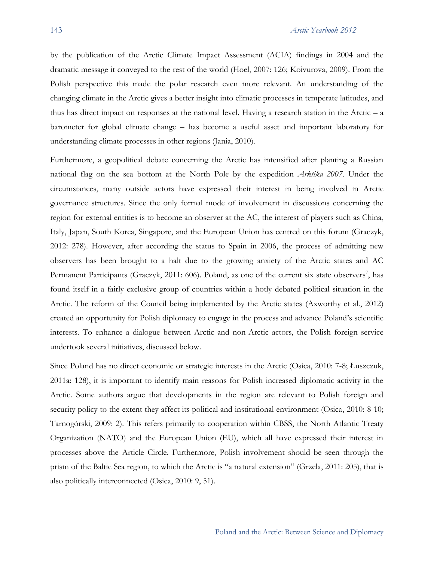by the publication of the Arctic Climate Impact Assessment (ACIA) findings in 2004 and the dramatic message it conveyed to the rest of the world (Hoel, 2007: 126; Koivurova, 2009). From the Polish perspective this made the polar research even more relevant. An understanding of the changing climate in the Arctic gives a better insight into climatic processes in temperate latitudes, and thus has direct impact on responses at the national level. Having a research station in the Arctic – a barometer for global climate change – has become a useful asset and important laboratory for understanding climate processes in other regions (Jania, 2010).

Furthermore, a geopolitical debate concerning the Arctic has intensified after planting a Russian national flag on the sea bottom at the North Pole by the expedition *Arktika 2007*. Under the circumstances, many outside actors have expressed their interest in being involved in Arctic governance structures. Since the only formal mode of involvement in discussions concerning the region for external entities is to become an observer at the AC, the interest of players such as China, Italy, Japan, South Korea, Singapore, and the European Union has centred on this forum (Graczyk, 2012: 278). However, after according the status to Spain in 2006, the process of admitting new observers has been brought to a halt due to the growing anxiety of the Arctic states and AC Permanent Participants (Graczyk, 2011: 606). Poland, as one of the current six state observers<sup>7</sup>, has found itself in a fairly exclusive group of countries within a hotly debated political situation in the Arctic. The reform of the Council being implemented by the Arctic states (Axworthy et al., 2012) created an opportunity for Polish diplomacy to engage in the process and advance Poland's scientific interests. To enhance a dialogue between Arctic and non-Arctic actors, the Polish foreign service undertook several initiatives, discussed below.

Since Poland has no direct economic or strategic interests in the Arctic (Osica, 2010: 7-8; Łuszczuk, 2011a: 128), it is important to identify main reasons for Polish increased diplomatic activity in the Arctic. Some authors argue that developments in the region are relevant to Polish foreign and security policy to the extent they affect its political and institutional environment (Osica, 2010: 8-10; Tarnogórski, 2009: 2). This refers primarily to cooperation within CBSS, the North Atlantic Treaty Organization (NATO) and the European Union (EU), which all have expressed their interest in processes above the Article Circle. Furthermore, Polish involvement should be seen through the prism of the Baltic Sea region, to which the Arctic is "a natural extension" (Grzela, 2011: 205), that is also politically interconnected (Osica, 2010: 9, 51).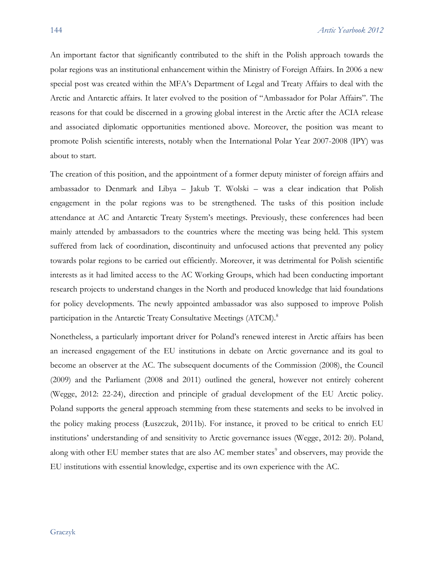An important factor that significantly contributed to the shift in the Polish approach towards the polar regions was an institutional enhancement within the Ministry of Foreign Affairs. In 2006 a new special post was created within the MFA's Department of Legal and Treaty Affairs to deal with the Arctic and Antarctic affairs. It later evolved to the position of "Ambassador for Polar Affairs". The reasons for that could be discerned in a growing global interest in the Arctic after the ACIA release and associated diplomatic opportunities mentioned above. Moreover, the position was meant to promote Polish scientific interests, notably when the International Polar Year 2007-2008 (IPY) was about to start.

The creation of this position, and the appointment of a former deputy minister of foreign affairs and ambassador to Denmark and Libya – Jakub T. Wolski – was a clear indication that Polish engagement in the polar regions was to be strengthened. The tasks of this position include attendance at AC and Antarctic Treaty System's meetings. Previously, these conferences had been mainly attended by ambassadors to the countries where the meeting was being held. This system suffered from lack of coordination, discontinuity and unfocused actions that prevented any policy towards polar regions to be carried out efficiently. Moreover, it was detrimental for Polish scientific interests as it had limited access to the AC Working Groups, which had been conducting important research projects to understand changes in the North and produced knowledge that laid foundations for policy developments. The newly appointed ambassador was also supposed to improve Polish participation in the Antarctic Treaty Consultative Meetings (ATCM).<sup>8</sup>

Nonetheless, a particularly important driver for Poland's renewed interest in Arctic affairs has been an increased engagement of the EU institutions in debate on Arctic governance and its goal to become an observer at the AC. The subsequent documents of the Commission (2008), the Council (2009) and the Parliament (2008 and 2011) outlined the general, however not entirely coherent (Wegge, 2012: 22-24), direction and principle of gradual development of the EU Arctic policy. Poland supports the general approach stemming from these statements and seeks to be involved in the policy making process (Łuszczuk, 2011b). For instance, it proved to be critical to enrich EU institutions' understanding of and sensitivity to Arctic governance issues (Wegge, 2012: 20). Poland, along with other EU member states that are also AC member states<sup>9</sup> and observers, may provide the EU institutions with essential knowledge, expertise and its own experience with the AC.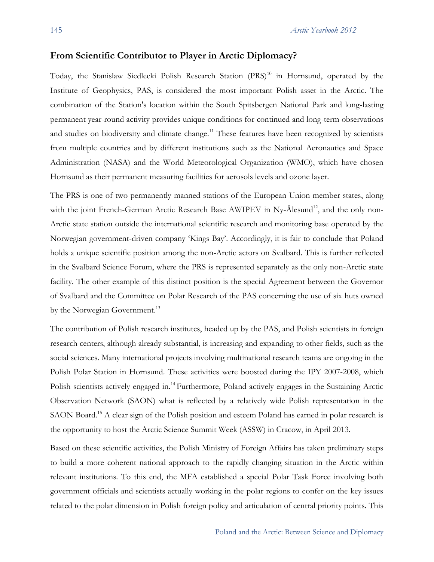#### **From Scientific Contributor to Player in Arctic Diplomacy?**

Today, the Stanislaw Siedlecki Polish Research Station (PRS)<sup>10</sup> in Hornsund, operated by the Institute of Geophysics, PAS, is considered the most important Polish asset in the Arctic. The combination of the Station's location within the South Spitsbergen National Park and long-lasting permanent year-round activity provides unique conditions for continued and long-term observations and studies on biodiversity and climate change.<sup>11</sup> These features have been recognized by scientists from multiple countries and by different institutions such as the National Aeronautics and Space Administration (NASA) and the World Meteorological Organization (WMO), which have chosen Hornsund as their permanent measuring facilities for aerosols levels and ozone layer.

The PRS is one of two permanently manned stations of the European Union member states, along with the joint French-German Arctic Research Base AWIPEV in Ny-Ålesund<sup>12</sup>, and the only non-Arctic state station outside the international scientific research and monitoring base operated by the Norwegian government-driven company 'Kings Bay'. Accordingly, it is fair to conclude that Poland holds a unique scientific position among the non-Arctic actors on Svalbard. This is further reflected in the Svalbard Science Forum, where the PRS is represented separately as the only non-Arctic state facility. The other example of this distinct position is the special Agreement between the Governor of Svalbard and the Committee on Polar Research of the PAS concerning the use of six huts owned by the Norwegian Government.<sup>13</sup>

The contribution of Polish research institutes, headed up by the PAS, and Polish scientists in foreign research centers, although already substantial, is increasing and expanding to other fields, such as the social sciences. Many international projects involving multinational research teams are ongoing in the Polish Polar Station in Hornsund. These activities were boosted during the IPY 2007-2008, which Polish scientists actively engaged in.<sup>14</sup> Furthermore, Poland actively engages in the Sustaining Arctic Observation Network (SAON) what is reflected by a relatively wide Polish representation in the SAON Board.<sup>15</sup> A clear sign of the Polish position and esteem Poland has earned in polar research is the opportunity to host the Arctic Science Summit Week (ASSW) in Cracow, in April 2013.

Based on these scientific activities, the Polish Ministry of Foreign Affairs has taken preliminary steps to build a more coherent national approach to the rapidly changing situation in the Arctic within relevant institutions. To this end, the MFA established a special Polar Task Force involving both government officials and scientists actually working in the polar regions to confer on the key issues related to the polar dimension in Polish foreign policy and articulation of central priority points. This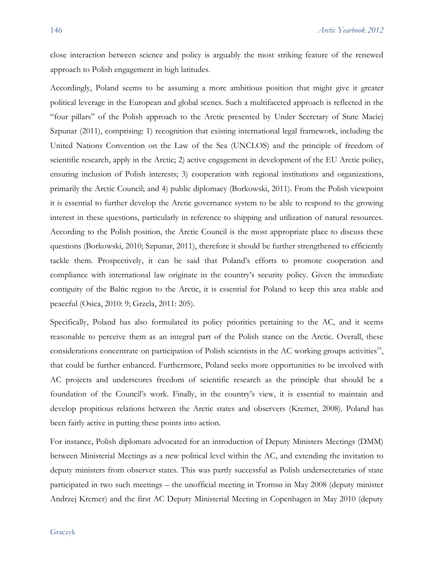close interaction between science and policy is arguably the most striking feature of the renewed approach to Polish engagement in high latitudes.

Accordingly, Poland seems to be assuming a more ambitious position that might give it greater political leverage in the European and global scenes. Such a multifaceted approach is reflected in the "four pillars" of the Polish approach to the Arctic presented by Under Secretary of State Maciej Szpunar (2011), comprising: 1) recognition that existing international legal framework, including the United Nations Convention on the Law of the Sea (UNCLOS) and the principle of freedom of scientific research, apply in the Arctic; 2) active engagement in development of the EU Arctic policy, ensuring inclusion of Polish interests; 3) cooperation with regional institutions and organizations, primarily the Arctic Council; and 4) public diplomacy (Borkowski, 2011). From the Polish viewpoint it is essential to further develop the Arctic governance system to be able to respond to the growing interest in these questions, particularly in reference to shipping and utilization of natural resources. According to the Polish position, the Arctic Council is the most appropriate place to discuss these questions (Borkowski, 2010; Szpunar, 2011), therefore it should be further strengthened to efficiently tackle them. Prospectively, it can be said that Poland's efforts to promote cooperation and compliance with international law originate in the country's security policy. Given the immediate contiguity of the Baltic region to the Arctic, it is essential for Poland to keep this area stable and peaceful (Osica, 2010: 9; Grzela, 2011: 205).

Specifically, Poland has also formulated its policy priorities pertaining to the AC, and it seems reasonable to perceive them as an integral part of the Polish stance on the Arctic. Overall, these considerations concentrate on participation of Polish scientists in the AC working groups activities<sup>16</sup>, that could be further enhanced. Furthermore, Poland seeks more opportunities to be involved with AC projects and underscores freedom of scientific research as the principle that should be a foundation of the Council's work. Finally, in the country's view, it is essential to maintain and develop propitious relations between the Arctic states and observers (Kremer, 2008). Poland has been fairly active in putting these points into action.

For instance, Polish diplomats advocated for an introduction of Deputy Ministers Meetings (DMM) between Ministerial Meetings as a new political level within the AC, and extending the invitation to deputy ministers from observer states. This was partly successful as Polish undersecretaries of state participated in two such meetings – the unofficial meeting in Tromsø in May 2008 (deputy minister Andrzej Kremer) and the first AC Deputy Ministerial Meeting in Copenhagen in May 2010 (deputy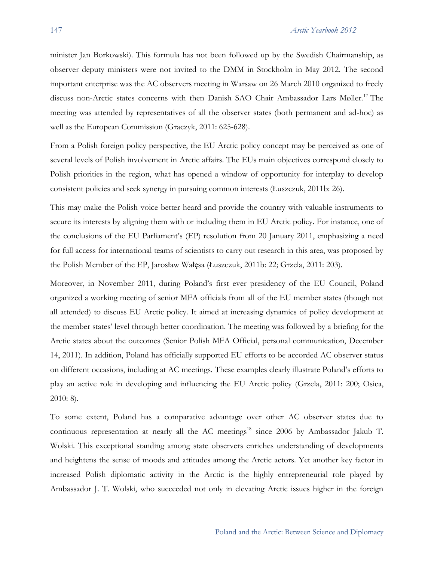minister Jan Borkowski). This formula has not been followed up by the Swedish Chairmanship, as observer deputy ministers were not invited to the DMM in Stockholm in May 2012. The second important enterprise was the AC observers meeting in Warsaw on 26 March 2010 organized to freely discuss non-Arctic states concerns with then Danish SAO Chair Ambassador Lars Møller.<sup>17</sup> The meeting was attended by representatives of all the observer states (both permanent and ad-hoc) as well as the European Commission (Graczyk, 2011: 625-628).

From a Polish foreign policy perspective, the EU Arctic policy concept may be perceived as one of several levels of Polish involvement in Arctic affairs. The EUs main objectives correspond closely to Polish priorities in the region, what has opened a window of opportunity for interplay to develop consistent policies and seek synergy in pursuing common interests (Łuszczuk, 2011b: 26).

This may make the Polish voice better heard and provide the country with valuable instruments to secure its interests by aligning them with or including them in EU Arctic policy. For instance, one of the conclusions of the EU Parliament's (EP) resolution from 20 January 2011, emphasizing a need for full access for international teams of scientists to carry out research in this area, was proposed by the Polish Member of the EP, Jarosław Wałęsa (Łuszczuk, 2011b: 22; Grzela, 2011: 203).

Moreover, in November 2011, during Poland's first ever presidency of the EU Council, Poland organized a working meeting of senior MFA officials from all of the EU member states (though not all attended) to discuss EU Arctic policy. It aimed at increasing dynamics of policy development at the member states' level through better coordination. The meeting was followed by a briefing for the Arctic states about the outcomes (Senior Polish MFA Official, personal communication, December 14, 2011). In addition, Poland has officially supported EU efforts to be accorded AC observer status on different occasions, including at AC meetings. These examples clearly illustrate Poland's efforts to play an active role in developing and influencing the EU Arctic policy (Grzela, 2011: 200; Osica, 2010: 8).

To some extent, Poland has a comparative advantage over other AC observer states due to continuous representation at nearly all the AC meetings<sup>18</sup> since 2006 by Ambassador Jakub T. Wolski. This exceptional standing among state observers enriches understanding of developments and heightens the sense of moods and attitudes among the Arctic actors. Yet another key factor in increased Polish diplomatic activity in the Arctic is the highly entrepreneurial role played by Ambassador J. T. Wolski, who succeeded not only in elevating Arctic issues higher in the foreign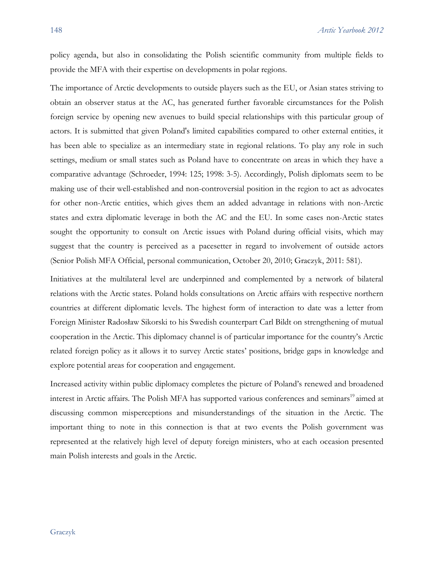policy agenda, but also in consolidating the Polish scientific community from multiple fields to provide the MFA with their expertise on developments in polar regions.

The importance of Arctic developments to outside players such as the EU, or Asian states striving to obtain an observer status at the AC, has generated further favorable circumstances for the Polish foreign service by opening new avenues to build special relationships with this particular group of actors. It is submitted that given Poland's limited capabilities compared to other external entities, it has been able to specialize as an intermediary state in regional relations. To play any role in such settings, medium or small states such as Poland have to concentrate on areas in which they have a comparative advantage (Schroeder, 1994: 125; 1998: 3-5). Accordingly, Polish diplomats seem to be making use of their well-established and non-controversial position in the region to act as advocates for other non-Arctic entities, which gives them an added advantage in relations with non-Arctic states and extra diplomatic leverage in both the AC and the EU. In some cases non-Arctic states sought the opportunity to consult on Arctic issues with Poland during official visits, which may suggest that the country is perceived as a pacesetter in regard to involvement of outside actors (Senior Polish MFA Official, personal communication, October 20, 2010; Graczyk, 2011: 581).

Initiatives at the multilateral level are underpinned and complemented by a network of bilateral relations with the Arctic states. Poland holds consultations on Arctic affairs with respective northern countries at different diplomatic levels. The highest form of interaction to date was a letter from Foreign Minister Radosław Sikorski to his Swedish counterpart Carl Bildt on strengthening of mutual cooperation in the Arctic. This diplomacy channel is of particular importance for the country's Arctic related foreign policy as it allows it to survey Arctic states' positions, bridge gaps in knowledge and explore potential areas for cooperation and engagement.

Increased activity within public diplomacy completes the picture of Poland's renewed and broadened interest in Arctic affairs. The Polish MFA has supported various conferences and seminars<sup>19</sup> aimed at discussing common misperceptions and misunderstandings of the situation in the Arctic. The important thing to note in this connection is that at two events the Polish government was represented at the relatively high level of deputy foreign ministers, who at each occasion presented main Polish interests and goals in the Arctic.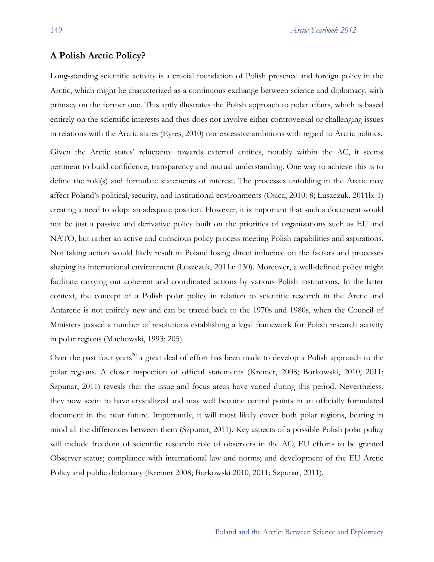#### **A Polish Arctic Policy?**

Long-standing scientific activity is a crucial foundation of Polish presence and foreign policy in the Arctic, which might be characterized as a continuous exchange between science and diplomacy, with primacy on the former one. This aptly illustrates the Polish approach to polar affairs, which is based entirely on the scientific interests and thus does not involve either controversial or challenging issues in relations with the Arctic states (Eyres, 2010) nor excessive ambitions with regard to Arctic politics.

Given the Arctic states' reluctance towards external entities, notably within the AC, it seems pertinent to build confidence, transparency and mutual understanding. One way to achieve this is to define the role(s) and formulate statements of interest. The processes unfolding in the Arctic may affect Poland's political, security, and institutional environments (Osica, 2010: 8; Łuszczuk, 2011b: 1) creating a need to adopt an adequate position. However, it is important that such a document would not be just a passive and derivative policy built on the priorities of organizations such as EU and NATO, but rather an active and conscious policy process meeting Polish capabilities and aspirations. Not taking action would likely result in Poland losing direct influence on the factors and processes shaping its international environment (Łuszczuk, 2011a: 130). Moreover, a well-defined policy might facilitate carrying out coherent and coordinated actions by various Polish institutions. In the latter context, the concept of a Polish polar policy in relation to scientific research in the Arctic and Antarctic is not entirely new and can be traced back to the 1970s and 1980s, when the Council of Ministers passed a number of resolutions establishing a legal framework for Polish research activity in polar regions (Machowski, 1993: 205).

Over the past four years<sup>20</sup> a great deal of effort has been made to develop a Polish approach to the polar regions. A closer inspection of official statements (Kremer, 2008; Borkowski, 2010, 2011; Szpunar, 2011) reveals that the issue and focus areas have varied during this period. Nevertheless, they now seem to have crystallized and may well become central points in an officially formulated document in the near future. Importantly, it will most likely cover both polar regions, bearing in mind all the differences between them (Szpunar, 2011). Key aspects of a possible Polish polar policy will include freedom of scientific research; role of observers in the AC; EU efforts to be granted Observer status; compliance with international law and norms; and development of the EU Arctic Policy and public diplomacy (Kremer 2008; Borkowski 2010, 2011; Szpunar, 2011).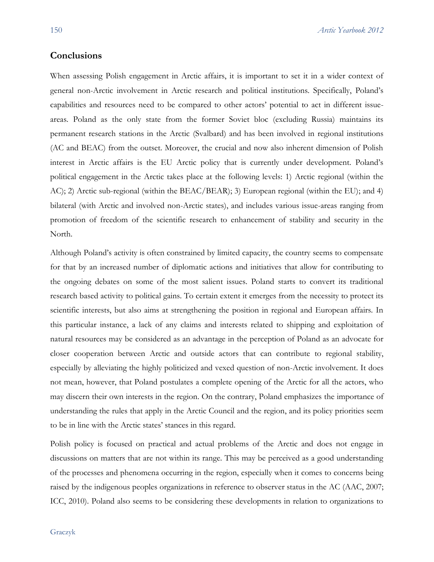# **Conclusions**

When assessing Polish engagement in Arctic affairs, it is important to set it in a wider context of general non-Arctic involvement in Arctic research and political institutions. Specifically, Poland's capabilities and resources need to be compared to other actors' potential to act in different issueareas. Poland as the only state from the former Soviet bloc (excluding Russia) maintains its permanent research stations in the Arctic (Svalbard) and has been involved in regional institutions (AC and BEAC) from the outset. Moreover, the crucial and now also inherent dimension of Polish interest in Arctic affairs is the EU Arctic policy that is currently under development. Poland's political engagement in the Arctic takes place at the following levels: 1) Arctic regional (within the AC); 2) Arctic sub-regional (within the BEAC/BEAR); 3) European regional (within the EU); and 4) bilateral (with Arctic and involved non-Arctic states), and includes various issue-areas ranging from promotion of freedom of the scientific research to enhancement of stability and security in the North.

Although Poland's activity is often constrained by limited capacity, the country seems to compensate for that by an increased number of diplomatic actions and initiatives that allow for contributing to the ongoing debates on some of the most salient issues. Poland starts to convert its traditional research based activity to political gains. To certain extent it emerges from the necessity to protect its scientific interests, but also aims at strengthening the position in regional and European affairs. In this particular instance, a lack of any claims and interests related to shipping and exploitation of natural resources may be considered as an advantage in the perception of Poland as an advocate for closer cooperation between Arctic and outside actors that can contribute to regional stability, especially by alleviating the highly politicized and vexed question of non-Arctic involvement. It does not mean, however, that Poland postulates a complete opening of the Arctic for all the actors, who may discern their own interests in the region. On the contrary, Poland emphasizes the importance of understanding the rules that apply in the Arctic Council and the region, and its policy priorities seem to be in line with the Arctic states' stances in this regard.

Polish policy is focused on practical and actual problems of the Arctic and does not engage in discussions on matters that are not within its range. This may be perceived as a good understanding of the processes and phenomena occurring in the region, especially when it comes to concerns being raised by the indigenous peoples organizations in reference to observer status in the AC (AAC, 2007; ICC, 2010). Poland also seems to be considering these developments in relation to organizations to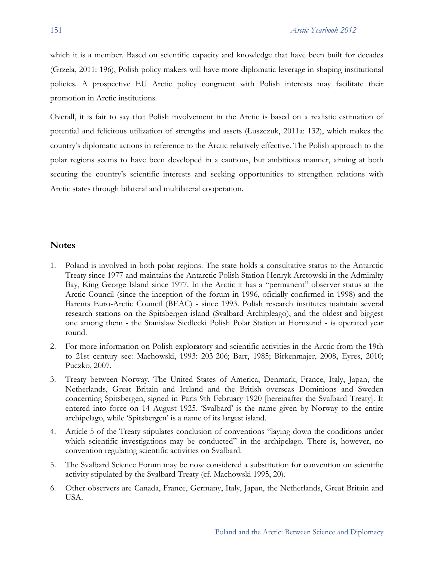which it is a member. Based on scientific capacity and knowledge that have been built for decades (Grzela, 2011: 196), Polish policy makers will have more diplomatic leverage in shaping institutional policies. A prospective EU Arctic policy congruent with Polish interests may facilitate their promotion in Arctic institutions.

Overall, it is fair to say that Polish involvement in the Arctic is based on a realistic estimation of potential and felicitous utilization of strengths and assets (Łuszczuk, 2011a: 132), which makes the country's diplomatic actions in reference to the Arctic relatively effective. The Polish approach to the polar regions seems to have been developed in a cautious, but ambitious manner, aiming at both securing the country's scientific interests and seeking opportunities to strengthen relations with Arctic states through bilateral and multilateral cooperation.

#### **Notes**

- 1. Poland is involved in both polar regions. The state holds a consultative status to the Antarctic Treaty since 1977 and maintains the Antarctic Polish Station Henryk Arctowski in the Admiralty Bay, King George Island since 1977. In the Arctic it has a "permanent" observer status at the Arctic Council (since the inception of the forum in 1996, oficially confirmed in 1998) and the Barents Euro-Arctic Council (BEAC) - since 1993. Polish research institutes maintain several research stations on the Spitsbergen island (Svalbard Archipleago), and the oldest and biggest one among them - the Stanislaw Siedlecki Polish Polar Station at Hornsund - is operated year round.
- 2. For more information on Polish exploratory and scientific activities in the Arctic from the 19th to 21st century see: Machowski, 1993: 203-206; Barr, 1985; Birkenmajer, 2008, Eyres, 2010; Puczko, 2007.
- 3. Treaty between Norway, The United States of America, Denmark, France, Italy, Japan, the Netherlands, Great Britain and Ireland and the British overseas Dominions and Sweden concerning Spitsbergen, signed in Paris 9th February 1920 [hereinafter the Svalbard Treaty]. It entered into force on 14 August 1925. 'Svalbard' is the name given by Norway to the entire archipelago, while 'Spitsbergen' is a name of its largest island.
- 4. Article 5 of the Treaty stipulates conclusion of conventions "laying down the conditions under which scientific investigations may be conducted" in the archipelago. There is, however, no convention regulating scientific activities on Svalbard.
- 5. The Svalbard Science Forum may be now considered a substitution for convention on scientific activity stipulated by the Svalbard Treaty (cf. Machowski 1995, 20).
- 6. Other observers are Canada, France, Germany, Italy, Japan, the Netherlands, Great Britain and USA.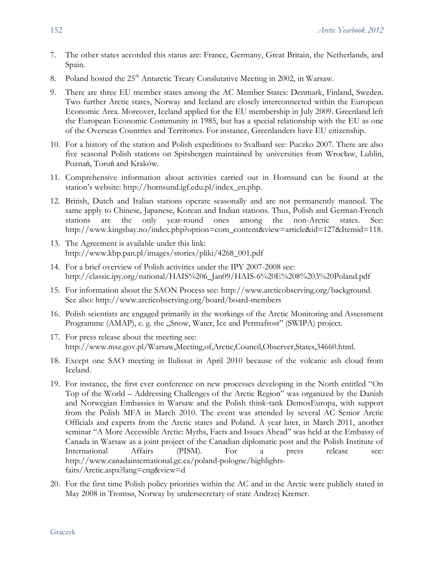- 7. The other states accorded this status are: France, Germany, Great Britain, the Netherlands, and Spain.
- 8. Poland hosted the  $25<sup>th</sup>$  Antarctic Treaty Conslutative Meeting in 2002, in Warsaw.
- 9. There are three EU member states among the AC Member States: Denmark, Finland, Sweden. Two further Arctic states, Norway and Iceland are closely interconnected within the European Economic Area. Moreover, Iceland applied for the EU membership in July 2009. Greenland left the European Economic Community in 1985, but has a special relationship with the EU as one of the Overseas Countries and Territories. For instance, Greenlanders have EU citizenship.
- 10. For a history of the station and Polish expeditions to Svalbard see: Puczko 2007. There are also five seasonal Polish stations on Spitsbergen maintained by universities from Wrocław, Lublin, Poznań, Toruń and Kraków.
- 11. Comprehensive information about activities carried out in Hornsund can be found at the station's website: http://hornsund.igf.edu.pl/index\_en.php.
- 12. British, Dutch and Italian stations operate seasonally and are not permanently manned. The same apply to Chinese, Japanese, Korean and Indian stations. Thus, Polish and German-French stations are the only year-round ones among the non-Arctic states. See: http://www.kingsbay.no/index.php?option=com\_content&view=article&id=127&Itemid=118.
- 13. The Agreement is available under this link: http://www.kbp.pan.pl/images/stories/pliki/4268\_001.pdf
- 14. For a brief overview of Polish activities under the IPY 2007-2008 see: http://classic.ipy.org/national/HAIS%206\_Jan09/HAIS-6%20E%208%203%20Poland.pdf
- 15. For information about the SAON Process see: http://www.arcticobserving.org/background. See also: http://www.arcticobserving.org/board/board-members
- 16. Polish scientists are engaged primarily in the workings of the Arctic Monitoring and Assessment Programme (AMAP), e. g. the "Snow, Water, Ice and Permafrost" (SWIPA) project.
- 17. For press release about the meeting see: http://www.msz.gov.pl/Warsaw,Meeting,of,Arctic,Council,Observer,States,34660.html.
- 18. Except one SAO meeting in Ilulissat in April 2010 because of the volcanic ash cloud from Iceland.
- 19. For instance, the first ever conference on new processes developing in the North entitled "On Top of the World – Addressing Challenges of the Arctic Region" was organized by the Danish and Norwegian Embassies in Warsaw and the Polish think-tank DemosEuropa, with support from the Polish MFA in March 2010. The event was attended by several AC Senior Arctic Officials and experts from the Arctic states and Poland. A year later, in March 2011, another seminar "A More Accessible Arctic: Myths, Facts and Issues Ahead" was held at the Embassy of Canada in Warsaw as a joint project of the Canadian diplomatic post and the Polish Institute of International Affairs (PISM). For a press release see: http://www.canadainternational.gc.ca/poland-pologne/highlightsfaits/Arctic.aspx?lang=eng&view=d
- 20. For the first time Polish policy priorities within the AC and in the Arctic were publicly stated in May 2008 in Tromsø, Norway by undersecretary of state Andrzej Kremer.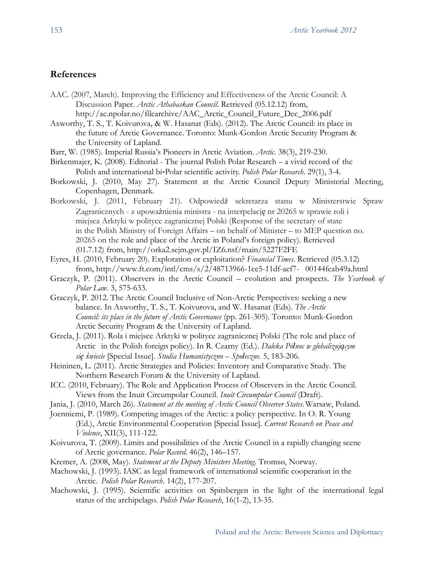## **References**

- AAC. (2007, March). Improving the Efficiency and Effectiveness of the Arctic Council: A Discussion Paper. *Arctic Athabaskan Council*. Retrieved (05.12.12) from, http://ac.npolar.no/filearchive/AAC\_Arctic\_Council\_Future\_Dec\_2006.pdf
- Axworthy, T. S., T. Koivurova, & W. Hasanat (Eds). (2012). The Arctic Council: its place in the future of Arctic Governance. Toronto: Munk-Gordon Arctic Security Program & the University of Lapland.
- Barr, W. (1985). Imperial Russia's Pioneers in Arctic Aviation. *Arctic*. 38(3), 219-230.
- Birkenmajer, K. (2008). Editorial The journal Polish Polar Research a vivid record of the Polish and international bi-Polar scientific activity. *Polish Polar Research*. 29(1), 3-4.
- Borkowski, J. (2010, May 27). Statement at the Arctic Council Deputy Ministerial Meeting, Copenhagen, Denmark.
- Borkowski, J. (2011, February 21). Odpowiedź sekretarza stanu w Ministerstwie Spraw Zagranicznych - z upoważnienia ministra - na interpelację nr 20265 w sprawie roli i miejsca Arktyki w polityce zagranicznej Polski (Response of the secretary of state in the Polish Ministry of Foreign Affairs – on behalf of Minister – to MEP question no. 20265 on the role and place of the Arctic in Poland's foreign policy). Retrieved (01.7.12) from, http://orka2.sejm.gov.pl/IZ6.nsf/main/5227F2FE
- Eyres, H. (2010, February 20). Exploration or exploitation? *Financial Times*. Retrieved (05.3.12) from, http://www.ft.com/intl/cms/s/2/48713966-1ce5-11df-aef7- 00144feab49a.html
- Graczyk, P. (2011). Observers in the Arctic Council evolution and prospects. *The Yearbook of Polar Law*. 3, 575-633.
- Graczyk, P. 2012. The Arctic Council Inclusive of Non-Arctic Perspectives: seeking a new balance. In Axworthy, T. S., T. Koivurova, and W. Hasanat (Eds). *The Arctic Council: its place in the future of Arctic Governance* (pp. 261-305). Toronto: Munk-Gordon Arctic Security Program & the University of Lapland.
- Grzela, J. (2011). Rola i miejsce Arktyki w polityce zagranicznej Polski (The role and place of Arctic in the Polish foreign policy). In R. Czarny (Ed.). *Daleka Północ w globalizującym się świecie* [Special Issue]. *Studia Humanistyczno – Społeczne*. 5, 183-206.
- Heininen, L. (2011). Arctic Strategies and Policies: Inventory and Comparative Study. The Northern Research Forum & the University of Lapland.
- ICC. (2010, February). The Role and Application Process of Observers in the Arctic Council. Views from the Inuit Circumpolar Council. *Inuit Circumpolar Council* (Draft).
- Jania, J. (2010, March 26). *Statement at the meeting of Arctic Council Observer States*.Warsaw, Poland.
- Joenniemi, P. (1989). Competing images of the Arctic: a policy perspective. In O. R. Young (Ed.), Arctic Environmental Cooperation [Special Issue]. *Current Research on Peace and Violence*, XII(3), 111-122.
- Koivurova, T. (2009). Limits and possibilities of the Arctic Council in a rapidly changing scene of Arctic governance. *Polar Record*. 46(2), 146–157.
- Kremer, A. (2008, May). *Statement at the Deputy Ministers Meeting*. Tromsø, Norway.
- Machowski, J. (1993). IASC as legal framework of international scientific cooperation in the Arctic. *Polish Polar Research*. 14(2), 177-207.
- Machowski, J. (1995). Scientific activities on Spitsbergen in the light of the international legal status of the archipelago. *Polish Polar Research*, 16(1-2), 13-35.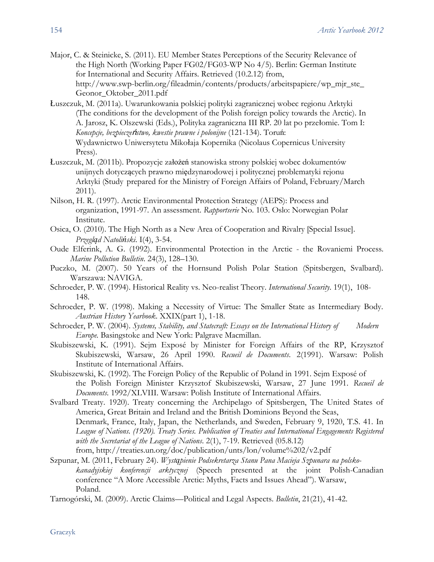- Major, C. & Steinicke, S. (2011). EU Member States Perceptions of the Security Relevance of the High North (Working Paper FG02/FG03-WP No 4/5). Berlin: German Institute for International and Security Affairs. Retrieved (10.2.12) from, http://www.swp-berlin.org/fileadmin/contents/products/arbeitspapiere/wp\_mjr\_ste\_ Geonor\_Oktober\_2011.pdf
- Łuszczuk, M. (2011a). Uwarunkowania polskiej polityki zagranicznej wobec regionu Arktyki (The conditions for the development of the Polish foreign policy towards the Arctic). In A. Jarosz, K. Olszewski (Eds.), Polityka zagraniczna III RP. 20 lat po przełomie. Tom I: *Koncepcje, bezpiecze*ń*stwo, kwestie prawne i polonijne* (121-134). Toruń: Wydawnictwo Uniwersytetu Mikołaja Kopernika (Nicolaus Copernicus University Press).
- Łuszczuk, M. (2011b). Propozycje założeń stanowiska strony polskiej wobec dokumentów unijnych dotyczących prawno międzynarodowej i politycznej problematyki rejonu Arktyki (Study prepared for the Ministry of Foreign Affairs of Poland, February/March 2011).
- Nilson, H. R. (1997). Arctic Environmental Protection Strategy (AEPS): Process and organization, 1991-97. An assessment. *Rapportserie* No. 103. Oslo: Norwegian Polar Institute.
- Osica, O. (2010). The High North as a New Area of Cooperation and Rivalry [Special Issue]. *Przegląd Natoliński*. I(4), 3-54.
- Oude Elferink, A. G. (1992). Environmental Protection in the Arctic the Rovaniemi Process. *Marine Pollution Bulletin*. 24(3), 128–130.
- Puczko, M. (2007). 50 Years of the Hornsund Polish Polar Station (Spitsbergen, Svalbard). Warszawa: NAVIGA.
- Schroeder, P. W. (1994). Historical Reality vs. Neo-realist Theory. *International Security*. 19(1), 108- 148.
- Schroeder, P. W. (1998). Making a Necessity of Virtue: The Smaller State as Intermediary Body. *Austrian History Yearbook*. XXIX(part 1), 1-18.
- Schroeder, P. W. (2004). *Systems, Stability, and Statecraft: Essays on the International History of Modern Europe.* Basingstoke and New York: Palgrave Macmillan.
- Skubiszewski, K. (1991). Sejm Exposé by Minister for Foreign Affairs of the RP, Krzysztof Skubiszewski, Warsaw, 26 April 1990. *Recueil de Documents*. 2(1991). Warsaw: Polish Institute of International Affairs.
- Skubiszewski, K. (1992). The Foreign Policy of the Republic of Poland in 1991. Sejm Exposé of the Polish Foreign Minister Krzysztof Skubiszewski, Warsaw, 27 June 1991. *Recueil de Documents*. 1992/XLVIII. Warsaw: Polish Institute of International Affairs.
- Svalbard Treaty. 1920). Treaty concerning the Archipelago of Spitsbergen, The United States of America, Great Britain and Ireland and the British Dominions Beyond the Seas, Denmark, France, Italy, Japan, the Netherlands, and Sweden, February 9, 1920, T.S. 41. In *League of Nations. (1920). Treaty Series. Publication of Treaties and International Engagements Registered with the Secretariat of the League of Nations*. 2(1), 7-19. Retrieved (05.8.12) from, http://treaties.un.org/doc/publication/unts/lon/volume%202/v2.pdf
- Szpunar, M. (2011, February 24). *Wystąpienie Podsekretarza Stanu Pana Macieja Szpunara na polskokanadyjskiej konferencji arktycznej* (Speech presented at the joint Polish-Canadian conference "A More Accessible Arctic: Myths, Facts and Issues Ahead"). Warsaw, Poland.
- Tarnogórski, M. (2009). Arctic Claims—Political and Legal Aspects. *Bulletin*, 21(21), 41-42.